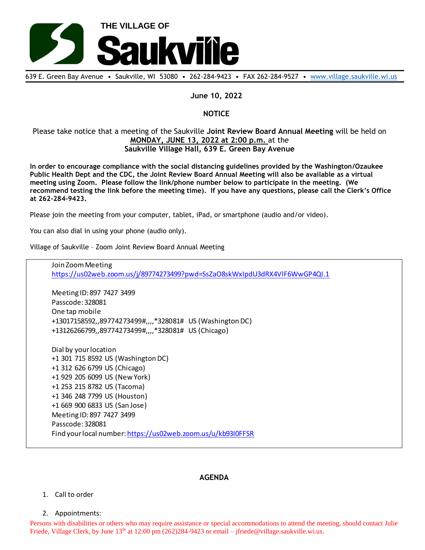

639 E. Green Bay Avenue • Saukville, WI 53080 • 262-284-9423 • FAX 262-284-9527 • [www.village.saukville.wi.us](http://www.village.saukville.wi.us/)

## **June 10, 2022**

# **NOTICE**

# Please take notice that a meeting of the Saukville **Joint Review Board Annual Meeting** will be held on **MONDAY, JUNE 13, 2022 at 2:00 p.m.** at the **Saukville Village Hall, 639 E. Green Bay Avenue**

**In order to encourage compliance with the social distancing guidelines provided by the Washington/Ozaukee Public Health Dept and the CDC, the Joint Review Board Annual Meeting will also be available as a virtual meeting using Zoom. Please follow the link/phone number below to participate in the meeting. (We recommend testing the link before the meeting time). If you have any questions, please call the Clerk's Office at 262-284-9423.**

Please join the meeting from your computer, tablet, iPad, or smartphone (audio and/or video).

You can also dial in using your phone (audio only).

Village of Saukville – Zoom Joint Review Board Annual Meeting

Join Zoom Meeting https://us02web.zoom.us/j/89774273499?pwd=SsZaO8skWxIpdU3dRX4VlF6WwGP4QI.1

Meeting ID: 897 7427 3499 Passcode: 328081 One tap mobile +13017158592,,89774273499#,,,,\*328081# US (Washington DC) +13126266799,,89774273499#,,,,\*328081# US (Chicago)

Dial by your location +1 301 715 8592 US (Washington DC) +1 312 626 6799 US (Chicago) +1 929 205 6099 US (New York) +1 253 215 8782 US (Tacoma) +1 346 248 7799 US (Houston) +1 669 900 6833 US (San Jose) Meeting ID: 897 7427 3499 Passcode: 328081 Find your local number: https://us02web.zoom.us/u/kb93I0FFSR

## **AGENDA**

#### 1. Call to order

2. Appointments:

Persons with disabilities or others who may require assistance or special accommodations to attend the meeting, should contact Julie Friede, Village Clerk, by June 13<sup>th</sup> at 12:00 pm (262)284-9423 or email – jfriede@village.saukville.wi.us.